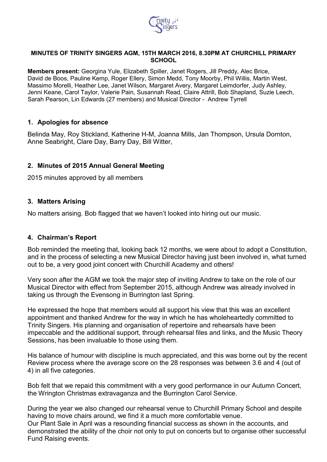

#### **MINUTES OF TRINITY SINGERS AGM, 15TH MARCH 2016, 8.30PM AT CHURCHILL PRIMARY SCHOOL**

**Members present:** Georgina Yule, Elizabeth Spiller, Janet Rogers, Jill Preddy, Alec Brice, David de Boos, Pauline Kemp, Roger Ellery, Simon Medd, Tony Moorby, Phil Willis, Martin West, Massimo Morelli, Heather Lee, Janet Wilson, Margaret Avery, Margaret Leimdorfer, Judy Ashley, Jenni Keane, Carol Taylor, Valerie Pain, Susannah Read, Claire Attrill, Bob Shapland, Suzie Leech, Sarah Pearson, Lin Edwards (27 members) and Musical Director - Andrew Tyrrell

### **1. Apologies for absence**

Belinda May, Roy Stickland, Katherine H-M, Joanna Mills, Jan Thompson, Ursula Dornton, Anne Seabright, Clare Day, Barry Day, Bill Witter,

## **2. Minutes of 2015 Annual General Meeting**

2015 minutes approved by all members

### **3. Matters Arising**

No matters arising. Bob flagged that we haven't looked into hiring out our music.

### **4. Chairman's Report**

Bob reminded the meeting that, looking back 12 months, we were about to adopt a Constitution, and in the process of selecting a new Musical Director having just been involved in, what turned out to be, a very good joint concert with Churchill Academy and others!

Very soon after the AGM we took the major step of inviting Andrew to take on the role of our Musical Director with effect from September 2015, although Andrew was already involved in taking us through the Evensong in Burrington last Spring.

He expressed the hope that members would all support his view that this was an excellent appointment and thanked Andrew for the way in which he has wholeheartedly committed to Trinity Singers. His planning and organisation of repertoire and rehearsals have been impeccable and the additional support, through rehearsal files and links, and the Music Theory Sessions, has been invaluable to those using them.

His balance of humour with discipline is much appreciated, and this was borne out by the recent Review process where the average score on the 28 responses was between 3.6 and 4 (out of 4) in all five categories.

Bob felt that we repaid this commitment with a very good performance in our Autumn Concert, the Wrington Christmas extravaganza and the Burrington Carol Service.

During the year we also changed our rehearsal venue to Churchill Primary School and despite having to move chairs around, we find it a much more comfortable venue. Our Plant Sale in April was a resounding financial success as shown in the accounts, and demonstrated the ability of the choir not only to put on concerts but to organise other successful Fund Raising events.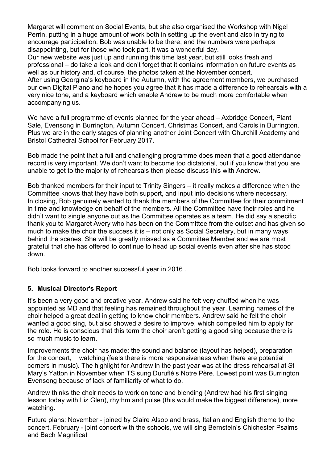Margaret will comment on Social Events, but she also organised the Workshop with Nigel Perrin, putting in a huge amount of work both in setting up the event and also in trying to encourage participation. Bob was unable to be there, and the numbers were perhaps disappointing, but for those who took part, it was a wonderful day.

Our new website was just up and running this time last year, but still looks fresh and professional – do take a look and don't forget that it contains information on future events as well as our history and, of course, the photos taken at the November concert.

After using Georgina's keyboard in the Autumn, with the agreement members, we purchased our own Digital Piano and he hopes you agree that it has made a difference to rehearsals with a very nice tone, and a keyboard which enable Andrew to be much more comfortable when accompanying us.

We have a full programme of events planned for the year ahead – Axbridge Concert, Plant Sale, Evensong in Burrington, Autumn Concert, Christmas Concert, and Carols in Burrington. Plus we are in the early stages of planning another Joint Concert with Churchill Academy and Bristol Cathedral School for February 2017.

Bob made the point that a full and challenging programme does mean that a good attendance record is very important. We don't want to become too dictatorial, but if you know that you are unable to get to the majority of rehearsals then please discuss this with Andrew.

Bob thanked members for their input to Trinity Singers – it really makes a difference when the Committee knows that they have both support, and input into decisions where necessary. In closing, Bob genuinely wanted to thank the members of the Committee for their commitment in time and knowledge on behalf of the members. All the Committee have their roles and he didn't want to single anyone out as the Committee operates as a team. He did say a specific thank you to Margaret Avery who has been on the Committee from the outset and has given so much to make the choir the success it is – not only as Social Secretary, but in many ways behind the scenes. She will be greatly missed as a Committee Member and we are most grateful that she has offered to continue to head up social events even after she has stood down.

Bob looks forward to another successful year in 2016 .

## **5. Musical Director's Report**

It's been a very good and creative year. Andrew said he felt very chuffed when he was appointed as MD and that feeling has remained throughout the year. Learning names of the choir helped a great deal in getting to know choir members. Andrew said he felt the choir wanted a good sing, but also showed a desire to improve, which compelled him to apply for the role. He is conscious that this term the choir aren't getting a good sing because there is so much music to learn.

Improvements the choir has made: the sound and balance (layout has helped), preparation for the concert, watching (feels there is more responsiveness when there are potential corners in music). The highlight for Andrew in the past year was at the dress rehearsal at St Mary's Yatton in November when TS sung Duruflé's Notre Père. Lowest point was Burrington Evensong because of lack of familiarity of what to do.

Andrew thinks the choir needs to work on tone and blending (Andrew had his first singing lesson today with Liz Glen), rhythm and pulse (this would make the biggest difference), more watching.

Future plans: November - joined by Claire Alsop and brass, Italian and English theme to the concert. February - joint concert with the schools, we will sing Bernstein's Chichester Psalms and Bach Magnificat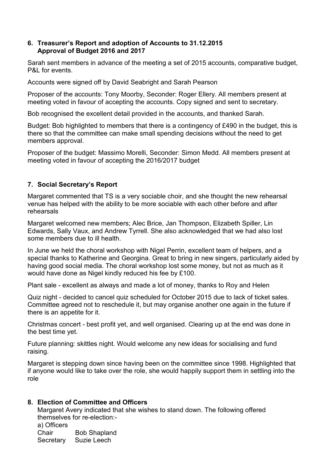### **6. Treasurer's Report and adoption of Accounts to 31.12.2015 Approval of Budget 2016 and 2017**

Sarah sent members in advance of the meeting a set of 2015 accounts, comparative budget, P&L for events.

Accounts were signed off by David Seabright and Sarah Pearson

Proposer of the accounts: Tony Moorby, Seconder: Roger Ellery. All members present at meeting voted in favour of accepting the accounts. Copy signed and sent to secretary.

Bob recognised the excellent detail provided in the accounts, and thanked Sarah.

Budget: Bob highlighted to members that there is a contingency of £490 in the budget, this is there so that the committee can make small spending decisions without the need to get members approval.

Proposer of the budget: Massimo Morelli, Seconder: Simon Medd. All members present at meeting voted in favour of accepting the 2016/2017 budget

# **7. Social Secretary's Report**

Margaret commented that TS is a very sociable choir, and she thought the new rehearsal venue has helped with the ability to be more sociable with each other before and after rehearsals

Margaret welcomed new members; Alec Brice, Jan Thompson, Elizabeth Spiller, Lin Edwards, Sally Vaux, and Andrew Tyrrell. She also acknowledged that we had also lost some members due to ill health.

In June we held the choral workshop with Nigel Perrin, excellent team of helpers, and a special thanks to Katherine and Georgina. Great to bring in new singers, particularly aided by having good social media. The choral workshop lost some money, but not as much as it would have done as Nigel kindly reduced his fee by £100.

Plant sale - excellent as always and made a lot of money, thanks to Roy and Helen

Quiz night - decided to cancel quiz scheduled for October 2015 due to lack of ticket sales. Committee agreed not to reschedule it, but may organise another one again in the future if there is an appetite for it.

Christmas concert - best profit yet, and well organised. Clearing up at the end was done in the best time yet.

Future planning: skittles night. Would welcome any new ideas for socialising and fund raising.

Margaret is stepping down since having been on the committee since 1998. Highlighted that if anyone would like to take over the role, she would happily support them in settling into the role

## **8. Election of Committee and Officers**

Margaret Avery indicated that she wishes to stand down. The following offered themselves for re-election:-

a) Officers Chair Bob Shapland Secretary Suzie Leech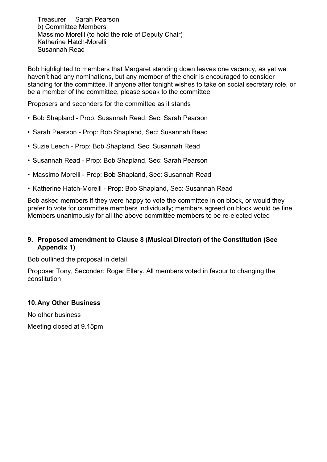Treasurer Sarah Pearson b) Committee Members Massimo Morelli (to hold the role of Deputy Chair) Katherine Hatch-Morelli Susannah Read

Bob highlighted to members that Margaret standing down leaves one vacancy, as yet we haven't had any nominations, but any member of the choir is encouraged to consider standing for the committee. If anyone after tonight wishes to take on social secretary role, or be a member of the committee, please speak to the committee

Proposers and seconders for the committee as it stands

- Bob Shapland Prop: Susannah Read, Sec: Sarah Pearson
- Sarah Pearson Prop: Bob Shapland, Sec: Susannah Read
- Suzie Leech Prop: Bob Shapland, Sec: Susannah Read
- Susannah Read Prop: Bob Shapland, Sec: Sarah Pearson
- Massimo Morelli Prop: Bob Shapland, Sec: Susannah Read
- Katherine Hatch-Morelli Prop: Bob Shapland, Sec: Susannah Read

Bob asked members if they were happy to vote the committee in on block, or would they prefer to vote for committee members individually; members agreed on block would be fine. Members unanimously for all the above committee members to be re-elected voted

### **9. Proposed amendment to Clause 8 (Musical Director) of the Constitution (See Appendix 1)**

Bob outlined the proposal in detail

Proposer Tony, Seconder: Roger Ellery. All members voted in favour to changing the constitution

### **10.Any Other Business**

No other business

Meeting closed at 9.15pm